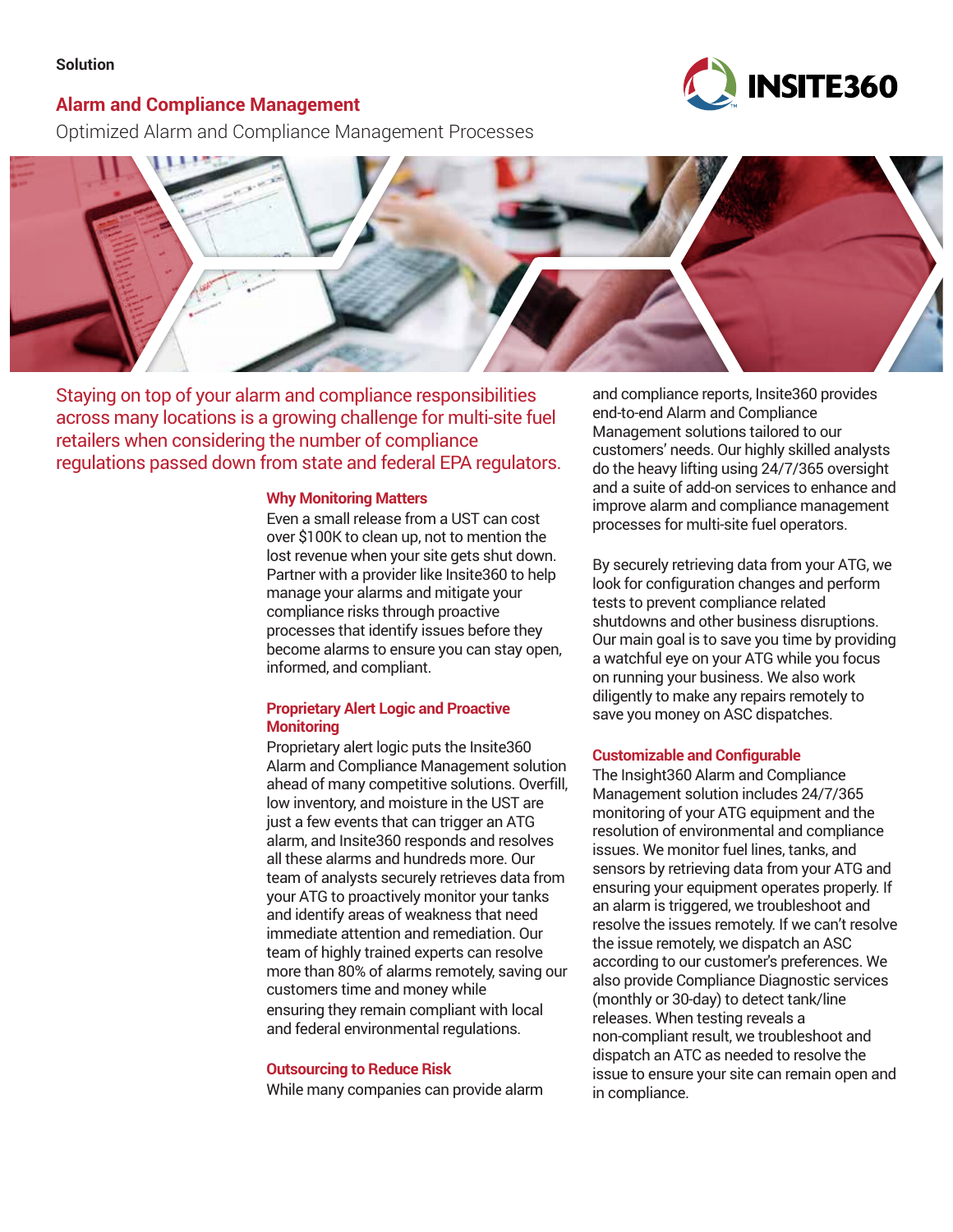#### **Solution**

## **Alarm and Compliance Management**

**INSITE360** 

Optimized Alarm and Compliance Management Processes



Staying on top of your alarm and compliance responsibilities across many locations is a growing challenge for multi-site fuel retailers when considering the number of compliance regulations passed down from state and federal EPA regulators.

#### **Why Monitoring Matters**

Even a small release from a UST can cost over \$100K to clean up, not to mention the lost revenue when your site gets shut down. Partner with a provider like Insite360 to help manage your alarms and mitigate your compliance risks through proactive processes that identify issues before they become alarms to ensure you can stay open, informed, and compliant.

### **Proprietary Alert Logic and Proactive Monitoring**

Proprietary alert logic puts the Insite360 Alarm and Compliance Management solution ahead of many competitive solutions. Overfill, low inventory, and moisture in the UST are just a few events that can trigger an ATG alarm, and Insite360 responds and resolves all these alarms and hundreds more. Our team of analysts securely retrieves data from your ATG to proactively monitor your tanks and identify areas of weakness that need immediate attention and remediation. Our team of highly trained experts can resolve more than 80% of alarms remotely, saving our customers time and money while ensuring they remain compliant with local and federal environmental regulations.

#### **Outsourcing to Reduce Risk**

While many companies can provide alarm

and compliance reports, Insite360 provides end-to-end Alarm and Compliance Management solutions tailored to our customers' needs. Our highly skilled analysts do the heavy lifting using 24/7/365 oversight and a suite of add-on services to enhance and improve alarm and compliance management processes for multi-site fuel operators.

By securely retrieving data from your ATG, we look for configuration changes and perform tests to prevent compliance related shutdowns and other business disruptions. Our main goal is to save you time by providing a watchful eye on your ATG while you focus on running your business. We also work diligently to make any repairs remotely to save you money on ASC dispatches.

#### **Customizable and Configurable**

The Insight360 Alarm and Compliance Management solution includes 24/7/365 monitoring of your ATG equipment and the resolution of environmental and compliance issues. We monitor fuel lines, tanks, and sensors by retrieving data from your ATG and ensuring your equipment operates properly. If an alarm is triggered, we troubleshoot and resolve the issues remotely. If we can't resolve the issue remotely, we dispatch an ASC according to our customer's preferences. We also provide Compliance Diagnostic services (monthly or 30-day) to detect tank/line releases. When testing reveals a non-compliant result, we troubleshoot and dispatch an ATC as needed to resolve the issue to ensure your site can remain open and in compliance.